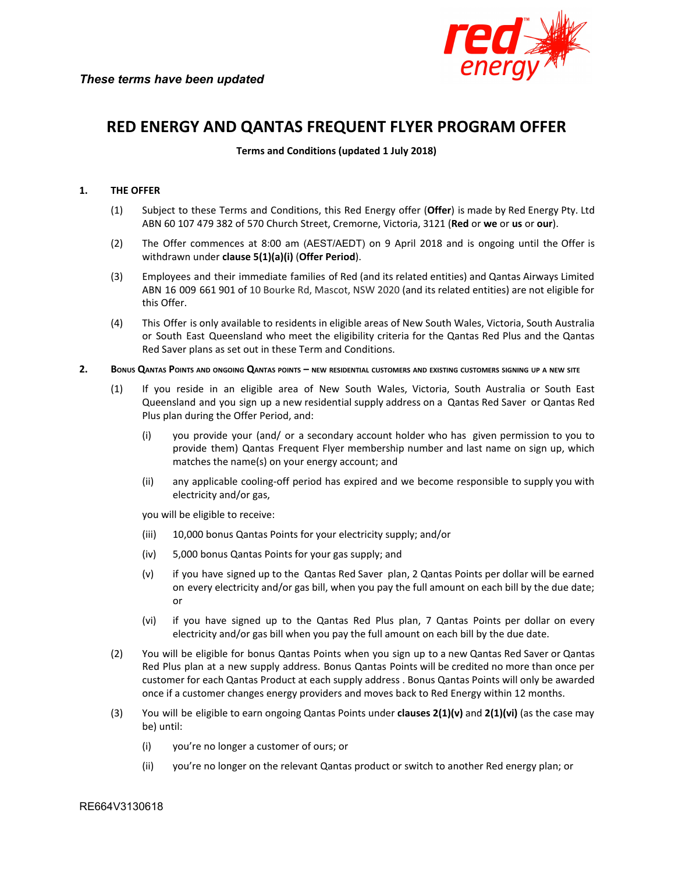

# **RED ENERGY AND QANTAS FREQUENT FLYER PROGRAM OFFER**

**Terms and Conditions (updated 1 July 2018)**

## **1. THE OFFER**

- (1) Subject to these Terms and Conditions, this Red Energy offer (**Offer**) is made by Red Energy Pty. Ltd ABN 60 107 479 382 of 570 Church Street, Cremorne, Victoria, 3121 (**Red** or **we** or **us** or **our**).
- (2) The Offer commences at 8:00 am (AEST/AEDT) on 9 April 2018 and is ongoing until the Offer is withdrawn under **clause 5(1)(a)(i)** (**Offer Period**).
- (3) Employees and their immediate families of Red (and its related entities) and Qantas Airways Limited ABN 16 009 661 901 of 10 Bourke Rd, Mascot, NSW 2020 (and its related entities) are not eligible for this Offer.
- (4) This Offer is only available to residents in eligible areas of New South Wales, Victoria, South Australia or South East Queensland who meet the eligibility criteria for the Qantas Red Plus and the Qantas Red Saver plans as set out in these Term and Conditions.
- 2. BONUS QANTAS POINTS AND ONGOING QANTAS POINTS NEW RESIDENTIAL CUSTOMERS AND EXISTING CUSTOMERS SIGNING UP A NEW SITE
	- (1) If you reside in an eligible area of New South Wales, Victoria, South Australia or South East Queensland and you sign up a new residential supply address on a Qantas Red Saver or Qantas Red Plus plan during the Offer Period, and:
		- (i) you provide your (and/ or a secondary account holder who has given permission to you to provide them) Qantas Frequent Flyer membership number and last name on sign up, which matches the name(s) on your energy account; and
		- (ii) any applicable cooling-off period has expired and we become responsible to supply you with electricity and/or gas,

you will be eligible to receive:

- (iii) 10,000 bonus Qantas Points for your electricity supply; and/or
- (iv) 5,000 bonus Qantas Points for your gas supply; and
- (v) if you have signed up to the Qantas Red Saver plan, 2 Qantas Points per dollar will be earned on every electricity and/or gas bill, when you pay the full amount on each bill by the due date; or
- (vi) if you have signed up to the Qantas Red Plus plan, 7 Qantas Points per dollar on every electricity and/or gas bill when you pay the full amount on each bill by the due date.
- (2) You will be eligible for bonus Qantas Points when you sign up to a new Qantas Red Saver or Qantas Red Plus plan at a new supply address. Bonus Qantas Points will be credited no more than once per customer for each Qantas Product at each supply address . Bonus Qantas Points will only be awarded once if a customer changes energy providers and moves back to Red Energy within 12 months.
- (3) You will be eligible to earn ongoing Qantas Points under **clauses 2(1)(v)** and **2(1)(vi)** (as the case may be) until:
	- (i) you're no longer a customer of ours; or
	- (ii) you're no longer on the relevant Qantas product or switch to another Red energy plan; or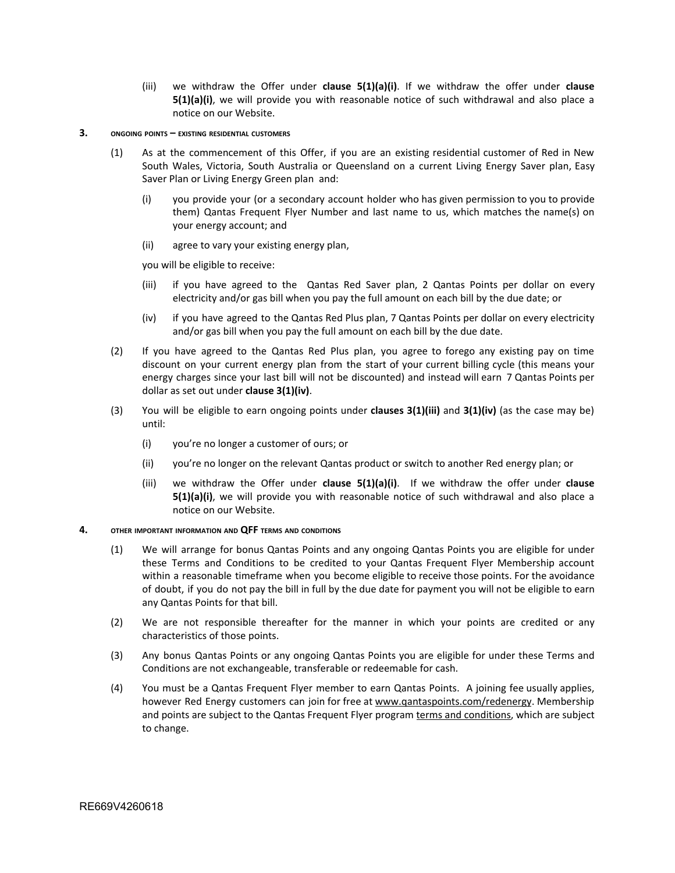(iii) we withdraw the Offer under **clause 5(1)(a)(i)**. If we withdraw the offer under **clause 5(1)(a)(i)**, we will provide you with reasonable notice of such withdrawal and also place a notice on our Website.

#### **3. ONGOING POINTS – EXISTING RESIDENTIAL CUSTOMERS**

- (1) As at the commencement of this Offer, if you are an existing residential customer of Red in New South Wales, Victoria, South Australia or Queensland on a current Living Energy Saver plan, Easy Saver Plan or Living Energy Green plan and:
	- (i) you provide your (or a secondary account holder who has given permission to you to provide them) Qantas Frequent Flyer Number and last name to us, which matches the name(s) on your energy account; and
	- (ii) agree to vary your existing energy plan,

you will be eligible to receive:

- (iii) if you have agreed to the Qantas Red Saver plan, 2 Qantas Points per dollar on every electricity and/or gas bill when you pay the full amount on each bill by the due date; or
- (iv) if you have agreed to the Qantas Red Plus plan, 7 Qantas Points per dollar on every electricity and/or gas bill when you pay the full amount on each bill by the due date.
- (2) If you have agreed to the Qantas Red Plus plan, you agree to forego any existing pay on time discount on your current energy plan from the start of your current billing cycle (this means your energy charges since your last bill will not be discounted) and instead will earn 7 Qantas Points per dollar as set out under **clause 3(1)(iv)**.
- (3) You will be eligible to earn ongoing points under **clauses 3(1)(iii)** and **3(1)(iv)** (as the case may be) until:
	- (i) you're no longer a customer of ours; or
	- (ii) you're no longer on the relevant Qantas product or switch to another Red energy plan; or
	- (iii) we withdraw the Offer under **clause 5(1)(a)(i)**. If we withdraw the offer under **clause 5(1)(a)(i)**, we will provide you with reasonable notice of such withdrawal and also place a notice on our Website.

### **4. OTHER IMPORTANT INFORMATION AND QFF TERMS AND CONDITIONS**

- (1) We will arrange for bonus Qantas Points and any ongoing Qantas Points you are eligible for under these Terms and Conditions to be credited to your Qantas Frequent Flyer Membership account within a reasonable timeframe when you become eligible to receive those points. For the avoidance of doubt, if you do not pay the bill in full by the due date for payment you will not be eligible to earn any Qantas Points for that bill.
- (2) We are not responsible thereafter for the manner in which your points are credited or any characteristics of those points.
- (3) Any bonus Qantas Points or any ongoing Qantas Points you are eligible for under these Terms and Conditions are not exchangeable, transferable or redeemable for cash.
- (4) You must be a Qantas Frequent Flyer member to earn Qantas Points. A joining fee usually applies, however Red Energy customers can join for free at [www.qantaspoints.com/redenergy](http://www.qantaspoints.com/redenergy). Membership and points are subject to the Qantas Frequent Flyer program terms and [conditions,](https://www.qantas.com/au/en/frequent-flyer/discover-and-join/terms-and-conditions.html) which are subject to change.